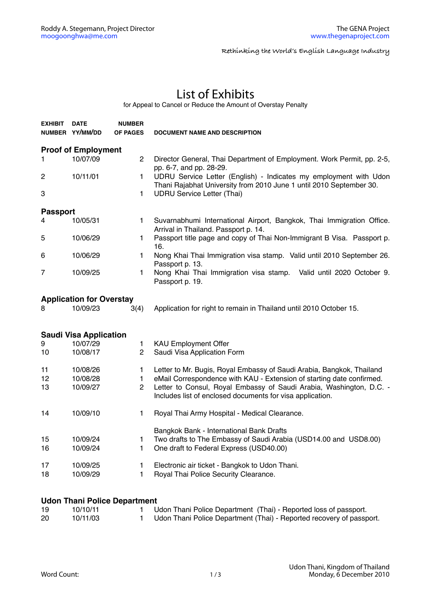**Rethinking the World's English Language Industry**

## List of Exhibits

for Appeal to Cancel or Reduce the Amount of Overstay Penalty

| <b>EXHIBIT</b>                | <b>DATE</b><br>NUMBER YY/MM/DD  | <b>NUMBER</b><br><b>OF PAGES</b> | <b>DOCUMENT NAME AND DESCRIPTION</b>                                                                                                     |  |  |  |  |  |
|-------------------------------|---------------------------------|----------------------------------|------------------------------------------------------------------------------------------------------------------------------------------|--|--|--|--|--|
| <b>Proof of Employment</b>    |                                 |                                  |                                                                                                                                          |  |  |  |  |  |
| 1.                            | 10/07/09                        | $\overline{c}$                   | Director General, Thai Department of Employment. Work Permit, pp. 2-5,<br>pp. 6-7, and pp. 28-29.                                        |  |  |  |  |  |
| 2                             | 10/11/01                        | 1                                | UDRU Service Letter (English) - Indicates my employment with Udon<br>Thani Rajabhat University from 2010 June 1 until 2010 September 30. |  |  |  |  |  |
| 3                             |                                 | 1                                | <b>UDRU Service Letter (Thai)</b>                                                                                                        |  |  |  |  |  |
| <b>Passport</b>               |                                 |                                  |                                                                                                                                          |  |  |  |  |  |
| 4                             | 10/05/31                        | $\mathbf{1}$                     | Suvarnabhumi International Airport, Bangkok, Thai Immigration Office.<br>Arrival in Thailand. Passport p. 14.                            |  |  |  |  |  |
| 5                             | 10/06/29                        | 1.                               | Passport title page and copy of Thai Non-Immigrant B Visa. Passport p.<br>16.                                                            |  |  |  |  |  |
| 6                             | 10/06/29                        | 1.                               | Nong Khai Thai Immigration visa stamp. Valid until 2010 September 26.<br>Passport p. 13.                                                 |  |  |  |  |  |
| 7                             | 10/09/25                        | 1                                | Nong Khai Thai Immigration visa stamp. Valid until 2020 October 9.<br>Passport p. 19.                                                    |  |  |  |  |  |
|                               | <b>Application for Overstay</b> |                                  |                                                                                                                                          |  |  |  |  |  |
| 8                             | 10/09/23                        | 3(4)                             | Application for right to remain in Thailand until 2010 October 15.                                                                       |  |  |  |  |  |
| <b>Saudi Visa Application</b> |                                 |                                  |                                                                                                                                          |  |  |  |  |  |
| 9                             | 10/07/29                        | 1.                               | <b>KAU Employment Offer</b>                                                                                                              |  |  |  |  |  |
| 10                            | 10/08/17                        | $\overline{2}$                   | Saudi Visa Application Form                                                                                                              |  |  |  |  |  |
| 11                            | 10/08/26                        | 1                                | Letter to Mr. Bugis, Royal Embassy of Saudi Arabia, Bangkok, Thailand                                                                    |  |  |  |  |  |
| 12                            | 10/08/28                        | $\mathbf{1}$                     | eMail Correspondence with KAU - Extension of starting date confirmed.                                                                    |  |  |  |  |  |
| 13                            | 10/09/27                        | $\overline{2}$                   | Letter to Consul, Royal Embassy of Saudi Arabia, Washington, D.C. -<br>Includes list of enclosed documents for visa application.         |  |  |  |  |  |
| 14                            | 10/09/10                        | 1.                               | Royal Thai Army Hospital - Medical Clearance.                                                                                            |  |  |  |  |  |
|                               |                                 |                                  | Bangkok Bank - International Bank Drafts                                                                                                 |  |  |  |  |  |
| 15<br>16                      | 10/09/24<br>10/09/24            | 1<br>$\mathbf{1}$                | Two drafts to The Embassy of Saudi Arabia (USD14.00 and USD8.00)<br>One draft to Federal Express (USD40.00)                              |  |  |  |  |  |
| 17<br>18                      | 10/09/25<br>10/09/29            | $\mathbf{1}$<br>1                | Electronic air ticket - Bangkok to Udon Thani.<br>Royal Thai Police Security Clearance.                                                  |  |  |  |  |  |

## **Udon Thani Police Department**

| 19 | 10/10/11 | Udon Thani Police Department (Thai) - Reported loss of passport.     |
|----|----------|----------------------------------------------------------------------|
| 20 | 10/11/03 | Udon Thani Police Department (Thai) - Reported recovery of passport. |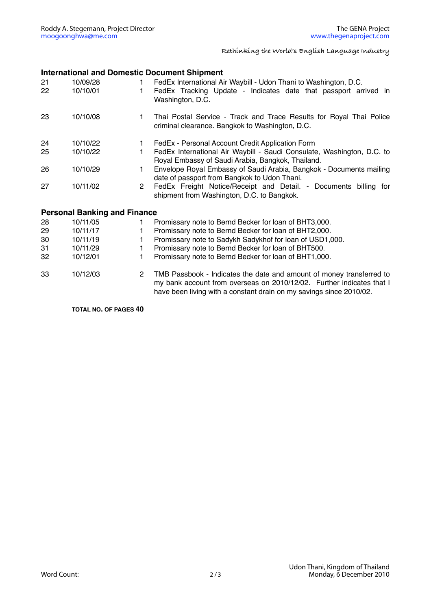**Rethinking the World's English Language Industry**

## **International and Domestic Document Shipment**

| 21<br>22                            | 10/09/28<br>10/10/01 | $\mathbf{1}$<br>1.   | FedEx International Air Waybill - Udon Thani to Washington, D.C.<br>FedEx Tracking Update - Indicates date that passport arrived in<br>Washington, D.C.                                                              |  |  |  |  |
|-------------------------------------|----------------------|----------------------|----------------------------------------------------------------------------------------------------------------------------------------------------------------------------------------------------------------------|--|--|--|--|
| 23                                  | 10/10/08             | 1.                   | Thai Postal Service - Track and Trace Results for Royal Thai Police<br>criminal clearance. Bangkok to Washington, D.C.                                                                                               |  |  |  |  |
| 24                                  | 10/10/22             | 1.                   | FedEx - Personal Account Credit Application Form                                                                                                                                                                     |  |  |  |  |
| 25                                  | 10/10/22             | 1.                   | FedEx International Air Waybill - Saudi Consulate, Washington, D.C. to<br>Royal Embassy of Saudi Arabia, Bangkok, Thailand.                                                                                          |  |  |  |  |
| 26                                  | 10/10/29             | $\mathbf{1}$         | Envelope Royal Embassy of Saudi Arabia, Bangkok - Documents mailing<br>date of passport from Bangkok to Udon Thani.                                                                                                  |  |  |  |  |
| 27                                  | 10/11/02             | $\mathbf{2}$         | FedEx Freight Notice/Receipt and Detail. - Documents billing for<br>shipment from Washington, D.C. to Bangkok.                                                                                                       |  |  |  |  |
| <b>Personal Banking and Finance</b> |                      |                      |                                                                                                                                                                                                                      |  |  |  |  |
| 28                                  | 10/11/05             | 1                    | Promissary note to Bernd Becker for loan of BHT3,000.                                                                                                                                                                |  |  |  |  |
| 29                                  | 10/11/17             | 1                    | Promissary note to Bernd Becker for loan of BHT2,000.                                                                                                                                                                |  |  |  |  |
| 30                                  | 10/11/19             | 1                    | Promissary note to Sadykh Sadykhof for loan of USD1,000.                                                                                                                                                             |  |  |  |  |
| 31                                  | 10/11/29             | 1.                   | Promissary note to Bernd Becker for loan of BHT500.                                                                                                                                                                  |  |  |  |  |
| 32                                  | 10/12/01             | 1                    | Promissary note to Bernd Becker for loan of BHT1,000.                                                                                                                                                                |  |  |  |  |
| 33                                  | 10/12/03             | $\mathbf{2}^{\circ}$ | TMB Passbook - Indicates the date and amount of money transferred to<br>my bank account from overseas on 2010/12/02. Further indicates that I<br>have been living with a constant drain on my savings since 2010/02. |  |  |  |  |

**TOTAL NO. OF PAGES 40**